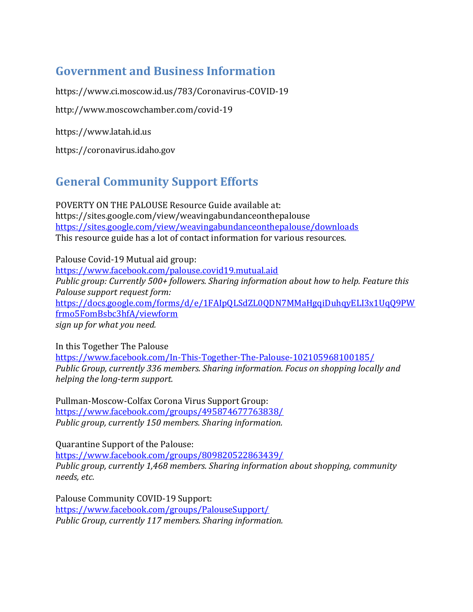## **Government and Business Information**

https://www.ci.moscow.id.us/783/Coronavirus-COVID-19

http://www.moscowchamber.com/covid-19

https://www.latah.id.us

https://coronavirus.idaho.gov

## **General Community Support Efforts**

POVERTY ON THE PALOUSE Resource Guide available at: https://sites.google.com/view/weavingabundanceonthepalouse <https://sites.google.com/view/weavingabundanceonthepalouse/downloads> This resource guide has a lot of contact information for various resources.

Palouse Covid-19 Mutual aid group: <https://www.facebook.com/palouse.covid19.mutual.aid> *Public group: Currently 500+ followers. Sharing information about how to help. Feature this Palouse support request form:* [https://docs.google.com/forms/d/e/1FAIpQLSdZL0QDN7MMaHgqiDuhqyELI3x1UqQ9PW](https://docs.google.com/forms/d/e/1FAIpQLSdZL0QDN7MMaHgqiDuhqyELI3x1UqQ9PWfrmo5FomBsbc3hfA/viewform) [frmo5FomBsbc3hfA/viewform](https://docs.google.com/forms/d/e/1FAIpQLSdZL0QDN7MMaHgqiDuhqyELI3x1UqQ9PWfrmo5FomBsbc3hfA/viewform) *sign up for what you need.*

In this Together The Palouse <https://www.facebook.com/In-This-Together-The-Palouse-102105968100185/> *Public Group, currently 336 members. Sharing information. Focus on shopping locally and helping the long-term support.*

Pullman-Moscow-Colfax Corona Virus Support Group: <https://www.facebook.com/groups/495874677763838/> *Public group, currently 150 members. Sharing information.*

Quarantine Support of the Palouse: <https://www.facebook.com/groups/809820522863439/> *Public group, currently 1,468 members. Sharing information about shopping, community needs, etc.*

Palouse Community COVID-19 Support: <https://www.facebook.com/groups/PalouseSupport/> *Public Group, currently 117 members. Sharing information.*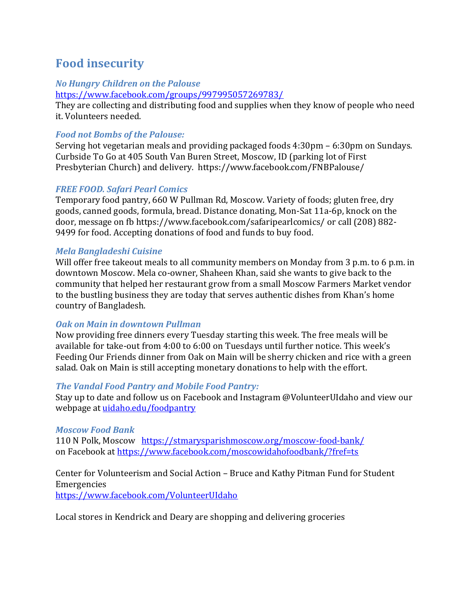## **Food insecurity**

#### *No Hungry Children on the Palouse*

<https://www.facebook.com/groups/997995057269783/>

They are collecting and distributing food and supplies when they know of people who need it. Volunteers needed.

### *Food not Bombs of the Palouse:*

Serving hot vegetarian meals and providing packaged foods 4:30pm – 6:30pm on Sundays. Curbside To Go at 405 South Van Buren Street, Moscow, ID (parking lot of First Presbyterian Church) and delivery. https://www.facebook.com/FNBPalouse/

## *FREE FOOD. [Safari Pearl Comics](https://www.facebook.com/safaripearlcomics/?__tn__=%2CdKH-R-R&eid=ARBQcQz5Ci-bjzO-3oZu3sEd7yePwv-3CfIEc3eesN-CtNbX_3vaJc-l-8p9tmkDTvB74kOCUoOgGSMC&fref=mentions&hc_location=group)*

Temporary food pantry, 660 W Pullman Rd, Moscow. Variety of foods; gluten free, dry goods, canned goods, formula, bread. Distance donating, Mon-Sat 11a-6p, knock on the door, message on fb https://www.facebook.com/safaripearlcomics/ or call (208) 882- 9499 for food. Accepting donations of food and funds to buy food.

### *Mela Bangladeshi Cuisine*

Will offer free takeout meals to all community members on Monday from 3 p.m. to 6 p.m. in downtown Moscow. Mela co-owner, Shaheen Khan, said she wants to give back to the community that helped her restaurant grow from a small Moscow Farmers Market vendor to the bustling business they are today that serves authentic dishes from Khan's home country of Bangladesh.

### *Oak on Main in downtown Pullman*

Now providing free dinners every Tuesday starting this week. The free meals will be available for take-out from 4:00 to 6:00 on Tuesdays until further notice. This week's Feeding Our Friends dinner from Oak on Main will be sherry chicken and rice with a green salad. Oak on Main is still accepting monetary donations to help with the effort.

### *The Vandal Food Pantry and Mobile Food Pantry:*

Stay up to date and follow us on Facebook and Instagram @VolunteerUIdaho and view our webpage at [uidaho.edu/foodpantry](https://l.facebook.com/l.php?u=http%3A%2F%2Fuidaho.edu%2Ffoodpantry%3Ffbclid%3DIwAR0MApOPS1JaR42gDYX36dD0vy85_kVKbt_DPSNrJMM6e87HCDp7sn-iISU&h=AT2xEeMmDfe-657R3EDhNHPIZu9PXROKvFutVV2nUgQQUcw2kwClvOjbtyuNktyx_Zbna5gjmRP_cACTREgbKJnHpOEf3kg2QrdOIN_emToN7D9VZEnILPTnNyd2MMN-XJIf6QlZdrYZzBSs7PpV0wwoogklW8tteHvcuxk)

### *Moscow Food Bank*

110 N Polk, Moscow <https://stmarysparishmoscow.org/moscow-food-bank/> on Facebook at<https://www.facebook.com/moscowidahofoodbank/?fref=ts>

#### Center for Volunteerism and Social Action – Bruce and Kathy Pitman Fund for Student Emergencies

<https://www.facebook.com/VolunteerUIdaho>

Local stores in Kendrick and Deary are shopping and delivering groceries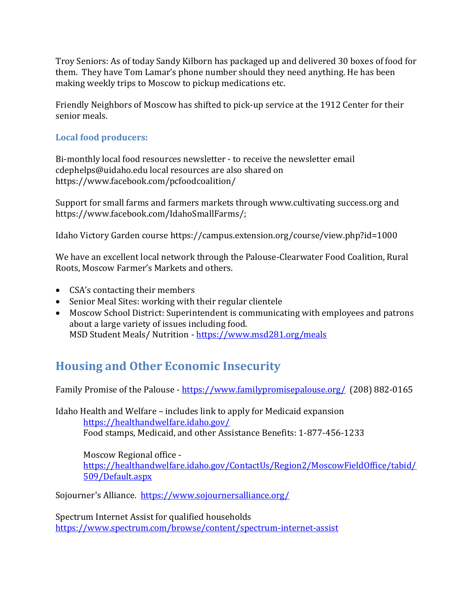Troy Seniors: As of today Sandy Kilborn has packaged up and delivered 30 boxes of food for them. They have Tom Lamar's phone number should they need anything. He has been making weekly trips to Moscow to pickup medications etc.

Friendly Neighbors of Moscow has shifted to pick-up service at the 1912 Center for their senior meals.

### **Local food producers:**

Bi-monthly local food resources newsletter - to receive the newsletter email cdephelps@uidaho.edu local resources are also shared on https://www.facebook.com/pcfoodcoalition/

Support for small farms and farmers markets through www.cultivating success.org and https://www.facebook.com/IdahoSmallFarms/;

Idaho Victory Garden course https://campus.extension.org/course/view.php?id=1000

We have an excellent local network through the Palouse-Clearwater Food Coalition, Rural Roots, Moscow Farmer's Markets and others.

- CSA's contacting their members
- Senior Meal Sites: working with their regular clientele
- Moscow School District: Superintendent is communicating with employees and patrons about a large variety of issues including food. MSD Student Meals/ Nutrition - <https://www.msd281.org/meals>

## **Housing and Other Economic Insecurity**

Family Promise of the Palouse - <https://www.familypromisepalouse.org/>(208) 882-0165

Idaho Health and Welfare – includes link to apply for Medicaid expansion <https://healthandwelfare.idaho.gov/> Food stamps, Medicaid, and other Assistance Benefits: 1-877-456-1233

Moscow Regional office [https://healthandwelfare.idaho.gov/ContactUs/Region2/MoscowFieldOffice/tabid/](https://healthandwelfare.idaho.gov/ContactUs/Region2/MoscowFieldOffice/tabid/509/Default.aspx) [509/Default.aspx](https://healthandwelfare.idaho.gov/ContactUs/Region2/MoscowFieldOffice/tabid/509/Default.aspx)

Sojourner's Alliance. https://www.sojournersalliance.org/

Spectrum Internet Assist for qualified households <https://www.spectrum.com/browse/content/spectrum-internet-assist>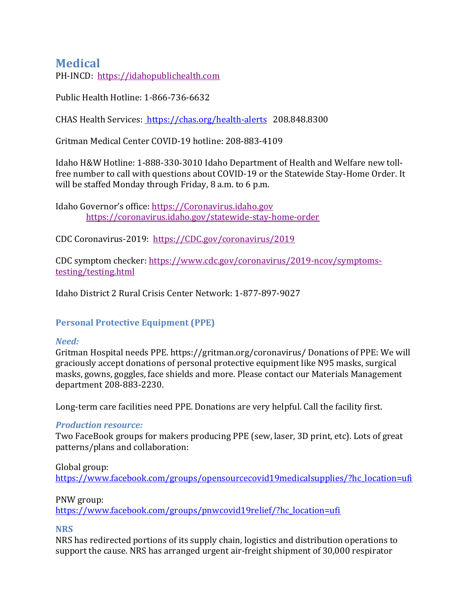## **Medical**

PH-INCD: [https://idahopublichealth.com](https://gcc02.safelinks.protection.outlook.com/?url=https%3A%2F%2Fidahopublichealth.com%2F&data=02%7C01%7Ctlamar%40latah.id.us%7C4eaf1cd31f434894876208d7d4beb7c1%7Ccd7fefc86890438a8ba96a2f90c2b284%7C0%7C0%7C637211788388279759&sdata=AjDZEe73Bn65u7OIRuOCrU5TsPU7LYyiuzX0RgHMpAI%3D&reserved=0)

Public Health Hotline: 1-866-736-6632

CHAS Health Services: <https://chas.org/health-alerts> 208.848.8300

Gritman Medical Center COVID-19 hotline: 208-883-4109

Idaho H&W Hotline: 1-888-330-3010 Idaho Department of Health and Welfare new tollfree number to call with questions about COVID-19 or the Statewide Stay-Home Order. It will be staffed Monday through Friday, 8 a.m. to 6 p.m.

Idaho Governor's office: [https://Coronavirus.idaho.gov](https://gcc02.safelinks.protection.outlook.com/?url=https%3A%2F%2Fcoronavirus.idaho.gov%2F&data=02%7C01%7Ctlamar%40latah.id.us%7C4eaf1cd31f434894876208d7d4beb7c1%7Ccd7fefc86890438a8ba96a2f90c2b284%7C0%7C0%7C637211788388279759&sdata=llM2JQzWKoghSauQvaKY5Ci2JngQGqyj9E9ZahjIbTA%3D&reserved=0) [https://coronavirus.idaho.gov/statewide-stay-home-order](https://gcc02.safelinks.protection.outlook.com/?url=https%3A%2F%2Fcoronavirus.idaho.gov%2Fstatewide-stay-home-order&data=02%7C01%7Ctlamar%40latah.id.us%7C4eaf1cd31f434894876208d7d4beb7c1%7Ccd7fefc86890438a8ba96a2f90c2b284%7C0%7C0%7C637211788388289746&sdata=AYjOo0qiZXulHAsakHjrOUsaq5xoxWFPQni%2FTF21yyg%3D&reserved=0)

CDC Coronavirus-2019: [https://CDC.gov/coronavirus/2019](https://gcc02.safelinks.protection.outlook.com/?url=https%3A%2F%2Fcdc.gov%2Fcoronavirus%2F2019&data=02%7C01%7Ctlamar%40latah.id.us%7C4eaf1cd31f434894876208d7d4beb7c1%7Ccd7fefc86890438a8ba96a2f90c2b284%7C0%7C0%7C637211788388289746&sdata=QFJJaB1zfXG8nuHEe2c0e1FM3F8TbAxoYpPv5Q8Sgl8%3D&reserved=0)

CDC symptom checker: [https://www.cdc.gov/coronavirus/2019-ncov/symptoms](https://gcc02.safelinks.protection.outlook.com/?url=https%3A%2F%2Fwww.cdc.gov%2Fcoronavirus%2F2019-ncov%2Fsymptoms-testing%2Ftesting.html&data=02%7C01%7Ctlamar%40latah.id.us%7C4eaf1cd31f434894876208d7d4beb7c1%7Ccd7fefc86890438a8ba96a2f90c2b284%7C0%7C0%7C637211788388299745&sdata=wkr3cg%2FlbqgBtFtjJLA03n%2FveaHqNTx8RrUuQk3g250%3D&reserved=0)[testing/testing.html](https://gcc02.safelinks.protection.outlook.com/?url=https%3A%2F%2Fwww.cdc.gov%2Fcoronavirus%2F2019-ncov%2Fsymptoms-testing%2Ftesting.html&data=02%7C01%7Ctlamar%40latah.id.us%7C4eaf1cd31f434894876208d7d4beb7c1%7Ccd7fefc86890438a8ba96a2f90c2b284%7C0%7C0%7C637211788388299745&sdata=wkr3cg%2FlbqgBtFtjJLA03n%2FveaHqNTx8RrUuQk3g250%3D&reserved=0)

Idaho District 2 Rural Crisis Center Network: 1-877-897-9027

### **Personal Protective Equipment (PPE)**

#### *Need:*

Gritman Hospital needs PPE. https://gritman.org/coronavirus/ Donations of PPE: We will graciously accept donations of personal protective equipment like N95 masks, surgical masks, gowns, goggles, face shields and more. Please contact our Materials Management department 208-883-2230.

Long-term care facilities need PPE. Donations are very helpful. Call the facility first.

#### *Production resource:*

Two FaceBook groups for makers producing PPE (sew, laser, 3D print, etc). Lots of great patterns/plans and collaboration:

#### Global group:

[https://www.facebook.com/groups/opensourcecovid19medicalsupplies/?hc\\_location=ufi](https://www.facebook.com/groups/opensourcecovid19medicalsupplies/?hc_location=ufi)

#### PNW group:

[https://www.facebook.com/groups/pnwcovid19relief/?hc\\_location=ufi](https://www.facebook.com/groups/pnwcovid19relief/?hc_location=ufi)

#### **NRS**

NRS has redirected portions of its supply chain, logistics and distribution operations to support the cause. NRS has arranged urgent air-freight shipment of 30,000 respirator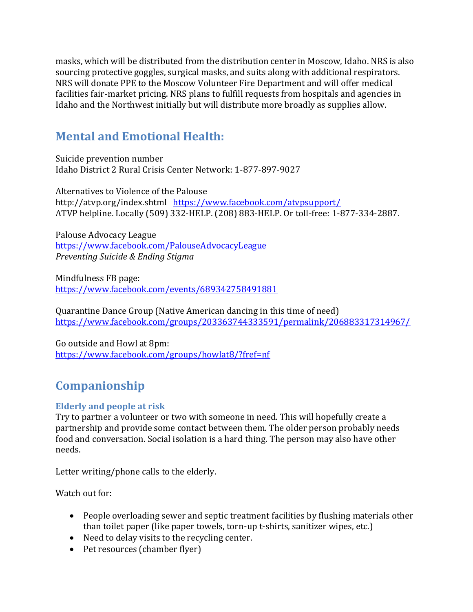masks, which will be distributed from the distribution center in Moscow, Idaho. NRS is also sourcing protective goggles, surgical masks, and suits along with additional respirators. NRS will donate PPE to the Moscow Volunteer Fire Department and will offer medical facilities fair-market pricing. NRS plans to fulfill requests from hospitals and agencies in Idaho and the Northwest initially but will distribute more broadly as supplies allow.

## **Mental and Emotional Health:**

Suicide prevention number Idaho District 2 Rural Crisis Center Network: 1-877-897-9027

Alternatives to Violence of the Palouse http://atvp.org/index.shtml <https://www.facebook.com/atvpsupport/> ATVP helpline. Locally (509) 332-HELP. (208) 883-HELP. Or toll-free: 1-877-334-2887.

Palouse Advocacy League <https://www.facebook.com/PalouseAdvocacyLeague> *Preventing Suicide & Ending Stigma*

Mindfulness FB page: <https://www.facebook.com/events/689342758491881>

Quarantine Dance Group (Native American dancing in this time of need) <https://www.facebook.com/groups/203363744333591/permalink/206883317314967/>

Go outside and Howl at 8pm: <https://www.facebook.com/groups/howlat8/?fref=nf>

# **Companionship**

## **Elderly and people at risk**

Try to partner a volunteer or two with someone in need. This will hopefully create a partnership and provide some contact between them. The older person probably needs food and conversation. Social isolation is a hard thing. The person may also have other needs.

Letter writing/phone calls to the elderly.

Watch out for:

- People overloading sewer and septic treatment facilities by flushing materials other than toilet paper (like paper towels, torn-up t-shirts, sanitizer wipes, etc.)
- Need to delay visits to the recycling center.
- Pet resources (chamber flyer)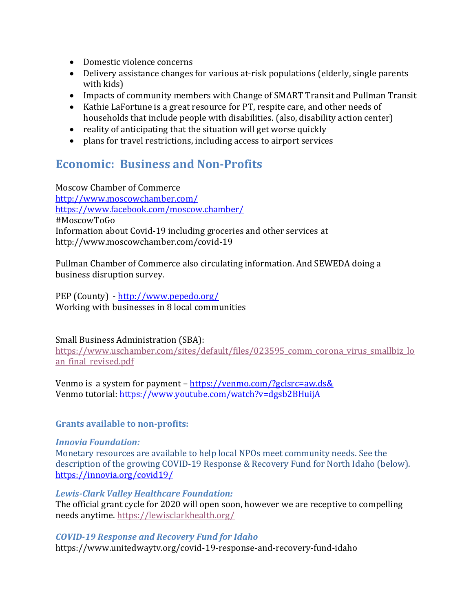- Domestic violence concerns
- Delivery assistance changes for various at-risk populations (elderly, single parents with kids)
- Impacts of community members with Change of SMART Transit and Pullman Transit
- Kathie LaFortune is a great resource for PT, respite care, and other needs of households that include people with disabilities. (also, disability action center)
- reality of anticipating that the situation will get worse quickly
- plans for travel restrictions, including access to airport services

## **Economic: Business and Non-Profits**

Moscow Chamber of Commerce <http://www.moscowchamber.com/> <https://www.facebook.com/moscow.chamber/> #MoscowToGo Information about Covid-19 including groceries and other services at http://www.moscowchamber.com/covid-19

Pullman Chamber of Commerce also circulating information. And SEWEDA doing a business disruption survey.

PEP (County) - <http://www.pepedo.org/> Working with businesses in 8 local communities

Small Business Administration (SBA):

[https://www.uschamber.com/sites/default/files/023595\\_comm\\_corona\\_virus\\_smallbiz\\_lo](https://gcc02.safelinks.protection.outlook.com/?url=https%3A%2F%2Furldefense.com%2Fv3%2F__https%3A%2Fwww.uschamber.com%2Fsites%2Fdefault%2Ffiles%2F023595_comm_corona_virus_smallbiz_loan_final_revised.pdf__%3B!!JYXjzlvb!20TZpn5GsNzfS4ctkg5HphjDXzzGPWH_BN47utRxOymrCX8QzMkWABQrSETA85lD%24&data=02%7C01%7Ctlamar%40latah.id.us%7C37387ea14ef043e5aa9208d7d5b3fb0c%7Ccd7fefc86890438a8ba96a2f90c2b284%7C0%7C0%7C637212841522278979&sdata=h30QAGwIB1HOJTrLkidO9qZ4bi1N8Lm020Bc0xSG9os%3D&reserved=0) an final revised.pdf

Venmo is a system for payment – <https://venmo.com/?gclsrc=aw.ds&> Venmo tutorial:<https://www.youtube.com/watch?v=dgsb2BHuijA>

### **Grants available to non-profits:**

#### *Innovia Foundation:*

Monetary resources are available to help local NPOs meet community needs. See the description of the growing COVID-19 Response & Recovery Fund for North Idaho (below). <https://innovia.org/covid19/>

#### *Lewis-Clark Valley Healthcare Foundation:*

The official grant cycle for 2020 will open soon, however we are receptive to compelling needs anytime. [https://lewisclarkhealth.org/](https://gcc02.safelinks.protection.outlook.com/?url=https%3A%2F%2Flewisclarkhealth.org%2F&data=02%7C01%7Ctlamar%40latah.id.us%7C7dd9a98b9e534920069808d7cae88fc1%7Ccd7fefc86890438a8ba96a2f90c2b284%7C0%7C0%7C637200972513115051&sdata=%2B%2BFiC3hua%2FWaRcIP6s5u%2F7nRw84oMkRm%2B0j1DcezYXA%3D&reserved=0)

#### *COVID-19 Response and Recovery Fund for Idaho*

https://www.unitedwaytv.org/covid-19-response-and-recovery-fund-idaho